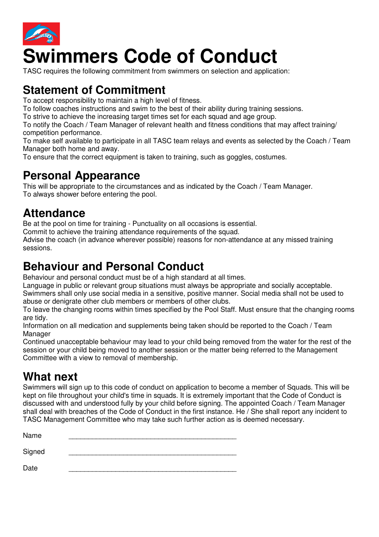

# **Swimmers Code of Conduct**

TASC requires the following commitment from swimmers on selection and application:

#### **Statement of Commitment**

To accept responsibility to maintain a high level of fitness.

To follow coaches instructions and swim to the best of their ability during training sessions.

To strive to achieve the increasing target times set for each squad and age group.

To notify the Coach / Team Manager of relevant health and fitness conditions that may affect training/ competition performance.

To make self available to participate in all TASC team relays and events as selected by the Coach / Team Manager both home and away.

To ensure that the correct equipment is taken to training, such as goggles, costumes.

#### **Personal Appearance**

This will be appropriate to the circumstances and as indicated by the Coach / Team Manager. To always shower before entering the pool.

#### **Attendance**

Be at the pool on time for training - Punctuality on all occasions is essential.

Commit to achieve the training attendance requirements of the squad.

Advise the coach (in advance wherever possible) reasons for non-attendance at any missed training sessions.

#### **Behaviour and Personal Conduct**

Behaviour and personal conduct must be of a high standard at all times.

Language in public or relevant group situations must always be appropriate and socially acceptable.

Swimmers shall only use social media in a sensitive, positive manner. Social media shall not be used to abuse or denigrate other club members or members of other clubs.

To leave the changing rooms within times specified by the Pool Staff. Must ensure that the changing rooms are tidy.

Information on all medication and supplements being taken should be reported to the Coach / Team Manager

Continued unacceptable behaviour may lead to your child being removed from the water for the rest of the session or your child being moved to another session or the matter being referred to the Management Committee with a view to removal of membership.

#### **What next**

Swimmers will sign up to this code of conduct on application to become a member of Squads. This will be kept on file throughout your child's time in squads. It is extremely important that the Code of Conduct is discussed with and understood fully by your child before signing. The appointed Coach / Team Manager shall deal with breaches of the Code of Conduct in the first instance. He / She shall report any incident to TASC Management Committee who may take such further action as is deemed necessary.

Name \_\_\_\_\_\_\_\_\_\_\_\_\_\_\_\_\_\_\_\_\_\_\_\_\_\_\_\_\_\_\_\_\_\_\_\_\_\_\_\_\_\_\_ Signed \_\_\_\_\_\_\_\_\_\_\_\_\_\_\_\_\_\_\_\_\_\_\_\_\_\_\_\_\_\_\_\_\_\_\_\_\_\_\_\_\_\_\_ Date \_\_\_\_\_\_\_\_\_\_\_\_\_\_\_\_\_\_\_\_\_\_\_\_\_\_\_\_\_\_\_\_\_\_\_\_\_\_\_\_\_\_\_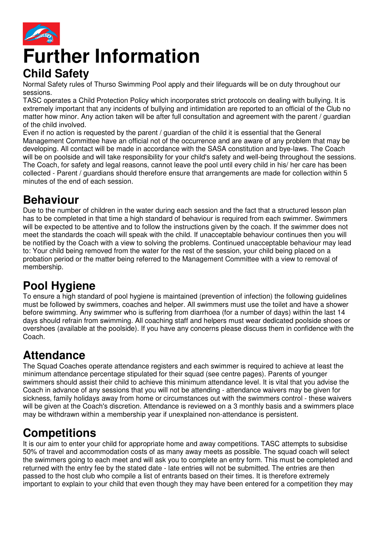

# **Further Information Child Safety**

Normal Safety rules of Thurso Swimming Pool apply and their lifeguards will be on duty throughout our sessions.

TASC operates a Child Protection Policy which incorporates strict protocols on dealing with bullying. It is extremely important that any incidents of bullying and intimidation are reported to an official of the Club no matter how minor. Any action taken will be after full consultation and agreement with the parent / guardian of the child involved.

Even if no action is requested by the parent / guardian of the child it is essential that the General Management Committee have an official not of the occurrence and are aware of any problem that may be developing. All contact will be made in accordance with the SASA constitution and bye-laws. The Coach will be on poolside and will take responsibility for your child's safety and well-being throughout the sessions. The Coach, for safety and legal reasons, cannot leave the pool until every child in his/ her care has been collected - Parent / guardians should therefore ensure that arrangements are made for collection within 5 minutes of the end of each session.

#### **Behaviour**

Due to the number of children in the water during each session and the fact that a structured lesson plan has to be completed in that time a high standard of behaviour is required from each swimmer. Swimmers will be expected to be attentive and to follow the instructions given by the coach. If the swimmer does not meet the standards the coach will speak with the child. If unacceptable behaviour continues then you will be notified by the Coach with a view to solving the problems. Continued unacceptable behaviour may lead to: Your child being removed from the water for the rest of the session, your child being placed on a probation period or the matter being referred to the Management Committee with a view to removal of membership.

# **Pool Hygiene**

To ensure a high standard of pool hygiene is maintained (prevention of infection) the following guidelines must be followed by swimmers, coaches and helper. All swimmers must use the toilet and have a shower before swimming. Any swimmer who is suffering from diarrhoea (for a number of days) within the last 14 days should refrain from swimming. All coaching staff and helpers must wear dedicated poolside shoes or overshoes (available at the poolside). If you have any concerns please discuss them in confidence with the Coach.

# **Attendance**

The Squad Coaches operate attendance registers and each swimmer is required to achieve at least the minimum attendance percentage stipulated for their squad (see centre pages). Parents of younger swimmers should assist their child to achieve this minimum attendance level. It is vital that you advise the Coach in advance of any sessions that you will not be attending - attendance waivers may be given for sickness, family holidays away from home or circumstances out with the swimmers control - these waivers will be given at the Coach's discretion. Attendance is reviewed on a 3 monthly basis and a swimmers place may be withdrawn within a membership year if unexplained non-attendance is persistent.

# **Competitions**

It is our aim to enter your child for appropriate home and away competitions. TASC attempts to subsidise 50% of travel and accommodation costs of as many away meets as possible. The squad coach will select the swimmers going to each meet and will ask you to complete an entry form. This must be completed and returned with the entry fee by the stated date - late entries will not be submitted. The entries are then passed to the host club who compile a list of entrants based on their times. It is therefore extremely important to explain to your child that even though they may have been entered for a competition they may